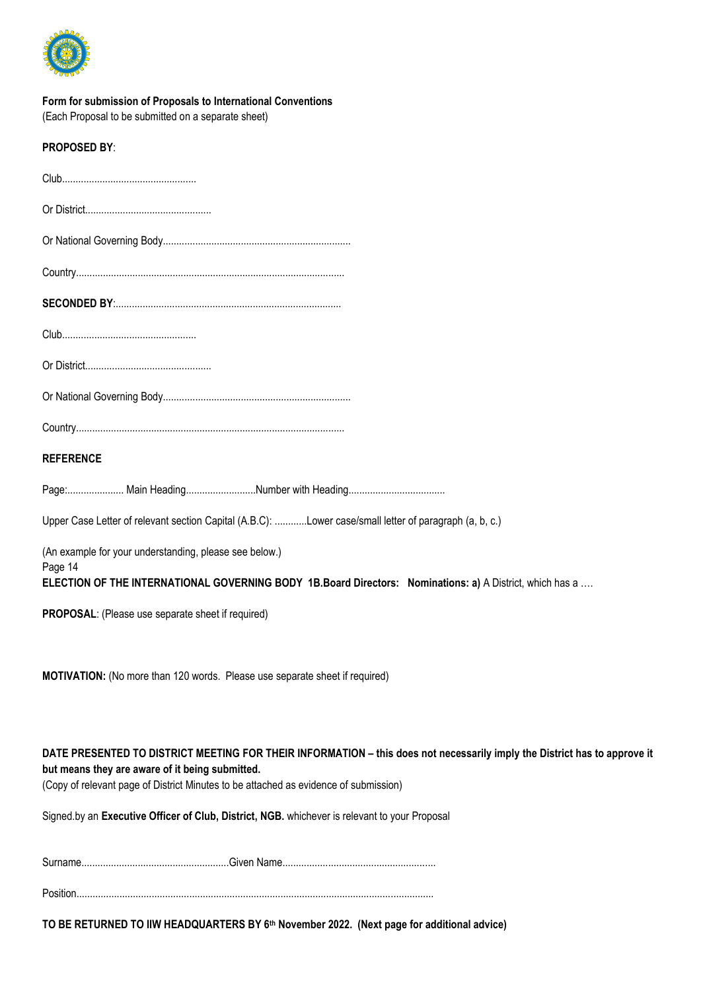

| Form for submission of Proposals to International Conventions<br>(Each Proposal to be submitted on a separate sheet)                                                                                                                                                 |
|----------------------------------------------------------------------------------------------------------------------------------------------------------------------------------------------------------------------------------------------------------------------|
| <b>PROPOSED BY:</b>                                                                                                                                                                                                                                                  |
|                                                                                                                                                                                                                                                                      |
|                                                                                                                                                                                                                                                                      |
|                                                                                                                                                                                                                                                                      |
|                                                                                                                                                                                                                                                                      |
|                                                                                                                                                                                                                                                                      |
|                                                                                                                                                                                                                                                                      |
|                                                                                                                                                                                                                                                                      |
|                                                                                                                                                                                                                                                                      |
|                                                                                                                                                                                                                                                                      |
| <b>REFERENCE</b>                                                                                                                                                                                                                                                     |
|                                                                                                                                                                                                                                                                      |
| Upper Case Letter of relevant section Capital (A.B.C): Lower case/small letter of paragraph (a, b, c.)                                                                                                                                                               |
| (An example for your understanding, please see below.)<br>Page 14<br>ELECTION OF THE INTERNATIONAL GOVERNING BODY 1B.Board Directors: Nominations: a) A District, which has a                                                                                        |
| <b>PROPOSAL:</b> (Please use separate sheet if required)                                                                                                                                                                                                             |
|                                                                                                                                                                                                                                                                      |
| MOTIVATION: (No more than 120 words. Please use separate sheet if required)                                                                                                                                                                                          |
| DATE PRESENTED TO DISTRICT MEETING FOR THEIR INFORMATION - this does not necessarily imply the District has to approve it<br>but means they are aware of it being submitted.<br>(Copy of relevant page of District Minutes to be attached as evidence of submission) |
| Signed.by an Executive Officer of Club, District, NGB. whichever is relevant to your Proposal                                                                                                                                                                        |
|                                                                                                                                                                                                                                                                      |

Position.....................................................................................................................................

**TO BE RETURNED TO IIW HEADQUARTERS BY 6th November 2022. (Next page for additional advice)**